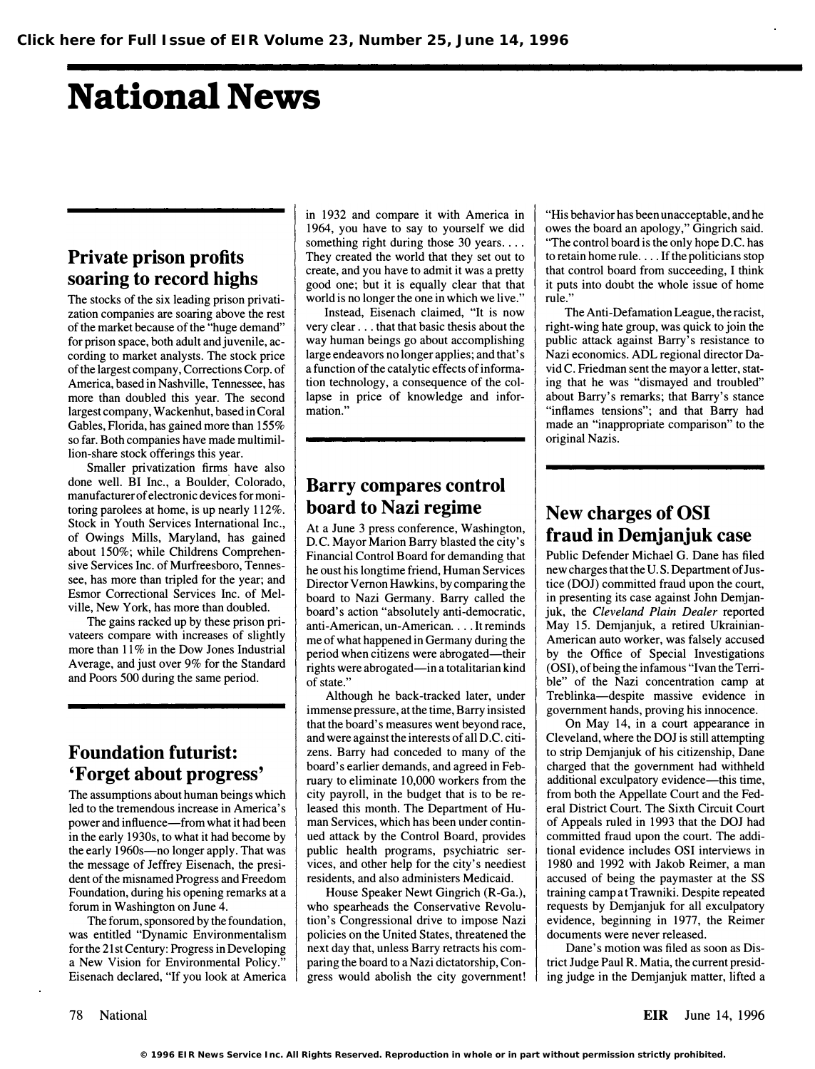# National News

### Private prison profits soaring to record highs

The stocks of the six leading prison privatization companies are soaring above the rest of the market because of the "huge demand" for prison space, both adult and juvenile, according to market analysts. The stock price of the largest company, Corrections Corp. of America, based in Nashville, Tennessee, has more than doubled this year. The second largest company, Wackenhut, based in Coral Gables, Florida, has gained more than 155% so far. Both companies have made multimillion-share stock offerings this year.

Smaller privatization firms have also done well. BI Inc., a Boulder: Colorado, manufacturer of electronic devices for monitoring parolees at home, is up nearly 112%. Stock in Youth Services International Inc., of Owings Mills, Maryland, has gained about 150%; while Childrens Comprehensive Services Inc. of Murfreesboro, Tennessee, has more than tripled for the year; and Esmor Correctional Services Inc. of Melville, New York, has more than doubled.

The gains racked up by these prison privateers compare with increases of slightly more than 11% in the Dow Jones Industrial Average, and just over 9% for the Standard and Poors 500 during the same period.

#### Foundation futurist: 'Forget about progress'

The assumptions about human beings which led to the tremendous increase in America's power and influence-from what it had been in the early 1930s, to what it had become by the early 1960s—no longer apply. That was the message of Jeffrey Eisenach, the president of the misnamed Progress and Freedom Foundation, during his opening remarks at a forum in Washington on June 4.

The forum, sponsored by the foundation, was entitled "Dynamic Environmentalism for the 21 st Century: Progress in Developing a New Vision for Environmental Policy." Eisenach declared, "If you look at America in 1932 and compare it with America in 1964, you have to say to yourself we did something right during those 30 years.... They created the world that they set out to create, and you have to admit it was a pretty good one; but it is equally clear that that world is no longer the one in which we live."

Instead, Eisenach claimed, "It is now very clear ... that that basic thesis about the way human beings go about accomplishing large endeavors no longer applies; and that's a function of the catalytic effects of information technology, a consequence of the collapse in price of knowledge and information."

#### Barry compares control board to Nazi regime

At a June 3 press conference, Washington, D.C. Mayor Marion Barry blasted the city's Financial Control Board for demanding that he oust his longtime friend, Human Services Director Vernon Hawkins, by comparing the board to Nazi Germany. Barry called the board's action "absolutely anti-democratic, anti-American, un-American .... It reminds me of what happened in Germany during the period when citizens were abrogated—their rights were abrogated—in a totalitarian kind of state."

Although he back-tracked later, under immense pressure, at the time, Barry insisted that the board's measures went beyond race, and were against the interests of all D.C. citizens. Barry had conceded to many of the board's earlier demands, and agreed in February to eliminate 10,000 workers from the city payroll, in the budget that is to be released this month. The Department of Human Services, which has been under continued attack by the Control Board, provides public health programs, psychiatric services, and other help for the city's neediest residents, and also administers Medicaid.

House Speaker Newt Gingrich (R-Ga.), who spearheads the Conservative Revolution's Congressional drive to impose Nazi policies on the United States, threatened the next day that, unless Barry retracts his comparing the board to a Nazi dictatorship, Congress would abolish the city government!

"His behavior has been unacceptable, and he owes the board an apology," Gingrich said. "The control board is the only hope D.C. has to retain home rule .... If the politicians stop that control board from succeeding, I think it puts into doubt the whole issue of home rule."

The Anti-Defamation League, the racist, right-wing hate group, was quick to join the public attack against Barry's resistance to Nazi economics. ADL regional director David C. Friedman sent the mayor a letter, stating that he was "dismayed and troubled" about Barry's remarks; that Barry's stance "inflames tensions"; and that Barry had made an "inappropriate comparison" to the original Nazis.

#### New charges of OSI fraud in Demjanjuk case

Public Defender Michael G. Dane has filed new charges that the U.S. Department of Justice (DOJ) committed fraud upon the court, in presenting its case against John Demjanjuk, the Cleveland Plain Dealer reported May 15. Demjanjuk, a retired Ukrainian-American auto worker, was falsely accused by the Office of Special Investigations (OSI), of being the infamous "Ivan the Terrible" of the Nazi concentration camp at Treblinka-despite massive evidence in government hands, proving his innocence.

On May 14, in a court appearance in Cleveland, where the DOJ is still attempting to strip Demjanjuk of his citizenship, Dane charged that the government had withheld additional exculpatory evidence-this time, from both the Appellate Court and the Federal District Court. The Sixth Circuit Court of Appeals ruled in 1993 that the DOJ had committed fraud upon the court. The additional evidence includes OSI interviews in 1980 and 1992 with Jakob Reimer, a man accused of being the paymaster at the SS training camp at Trawniki. Despite repeated requests by Demjanjuk for all exculpatory evidence, beginning in 1977, the Reimer documents were never released.

Dane's motion was filed as soon as District Judge Paul R. Matia, the current presiding judge in the Demjanjuk matter, lifted a